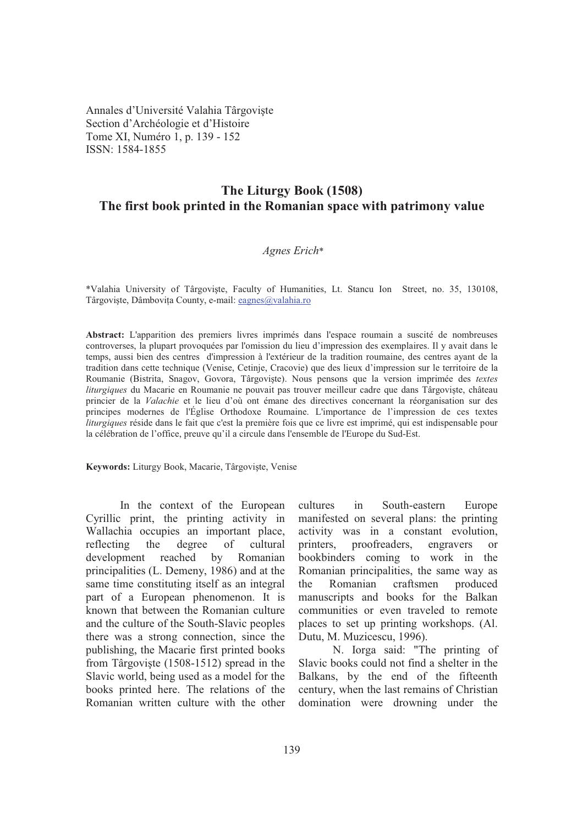Annales d'Université Valahia Târgoviste Section d'Archéologie et d'Histoire Tome XI, Numéro 1, p. 139 - 152 ISSN: 1584-1855

## **The Liturgy Book (1508) The first book printed in the Romanian space with patrimony value**

## *Agnes Erich*\*

\*Valahia University of Târgovite, Faculty of Humanities, Lt. Stancu Ion Street, no. 35, 130108, Târgoviște, Dâmbovița County, e-mail: eagnes@valahia.ro

**Abstract:** L'apparition des premiers livres imprimés dans l'espace roumain a suscité de nombreuses controverses, la plupart provoquées par l'omission du lieu d'impression des exemplaires. Il y avait dans le temps, aussi bien des centres d'impression à l'extérieur de la tradition roumaine, des centres ayant de la tradition dans cette technique (Venise, Cetinje, Cracovie) que des lieux d'impression sur le territoire de la Roumanie (Bistrita, Snagov, Govora, Târgoviște). Nous pensons que la version imprimée des textes *liturgiques* du Macarie en Roumanie ne pouvait pas trouver meilleur cadre que dans Târgoviste, château princier de la *Valachie* et le lieu d'où ont émane des directives concernant la réorganisation sur des principes modernes de l'Église Orthodoxe Roumaine. L'importance de l'impression de ces textes *liturgiques* réside dans le fait que c'est la première fois que ce livre est imprimé, qui est indispensable pour la célébration de l'office, preuve qu'il a circule dans l'ensemble de l'Europe du Sud-Est.

Keywords: Liturgy Book, Macarie, Târgoviște, Venise

In the context of the European Cyrillic print, the printing activity in Wallachia occupies an important place, reflecting the degree of cultural development reached by Romanian principalities (L. Demeny, 1986) and at the same time constituting itself as an integral part of a European phenomenon. It is known that between the Romanian culture and the culture of the South-Slavic peoples there was a strong connection, since the publishing, the Macarie first printed books from Târgoviste (1508-1512) spread in the Slavic world, being used as a model for the books printed here. The relations of the Romanian written culture with the other cultures in South-eastern Europe manifested on several plans: the printing activity was in a constant evolution, printers, proofreaders, engravers or bookbinders coming to work in the Romanian principalities, the same way as the Romanian craftsmen produced manuscripts and books for the Balkan communities or even traveled to remote places to set up printing workshops. (Al. Dutu, M. Muzicescu, 1996).

 N. Iorga said: "The printing of Slavic books could not find a shelter in the Balkans, by the end of the fifteenth century, when the last remains of Christian domination were drowning under the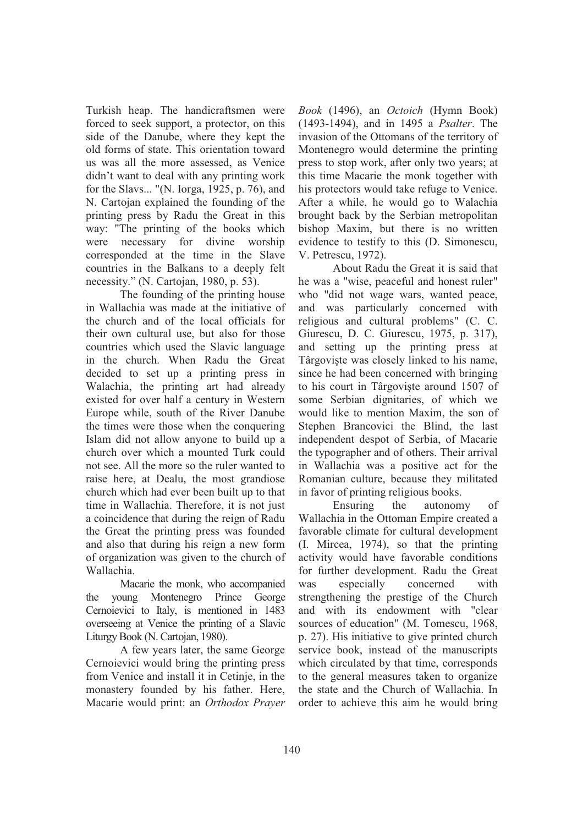Turkish heap. The handicraftsmen were forced to seek support, a protector, on this side of the Danube, where they kept the old forms of state. This orientation toward us was all the more assessed, as Venice didn't want to deal with any printing work for the Slavs... "(N. Iorga, 1925, p. 76), and N. Cartojan explained the founding of the printing press by Radu the Great in this way: "The printing of the books which were necessary for divine worship corresponded at the time in the Slave countries in the Balkans to a deeply felt necessity." (N. Cartojan, 1980, p. 53).

The founding of the printing house in Wallachia was made at the initiative of the church and of the local officials for their own cultural use, but also for those countries which used the Slavic language in the church. When Radu the Great decided to set up a printing press in Walachia, the printing art had already existed for over half a century in Western Europe while, south of the River Danube the times were those when the conquering Islam did not allow anyone to build up a church over which a mounted Turk could not see. All the more so the ruler wanted to raise here, at Dealu, the most grandiose church which had ever been built up to that time in Wallachia. Therefore, it is not just a coincidence that during the reign of Radu the Great the printing press was founded and also that during his reign a new form of organization was given to the church of Wallachia.

Macarie the monk, who accompanied the young Montenegro Prince George Cernoievici to Italy, is mentioned in 1483 overseeing at Venice the printing of a Slavic Liturgy Book (N. Cartojan, 1980).

A few years later, the same George Cernoievici would bring the printing press from Venice and install it in Cetinje, in the monastery founded by his father. Here, Macarie would print: an *Orthodox Prayer*  *Book* (1496), an *Octoich* (Hymn Book) (1493-1494), and in 1495 a *Psalter*. The invasion of the Ottomans of the territory of Montenegro would determine the printing press to stop work, after only two years; at this time Macarie the monk together with his protectors would take refuge to Venice. After a while, he would go to Walachia brought back by the Serbian metropolitan bishop Maxim, but there is no written evidence to testify to this (D. Simonescu, V. Petrescu, 1972).

 About Radu the Great it is said that he was a "wise, peaceful and honest ruler" who "did not wage wars, wanted peace, and was particularly concerned with religious and cultural problems" (C. C. Giurescu, D. C. Giurescu, 1975, p. 317), and setting up the printing press at Târgoviste was closely linked to his name, since he had been concerned with bringing to his court in Târgoviste around 1507 of some Serbian dignitaries, of which we would like to mention Maxim, the son of Stephen Brancovici the Blind, the last independent despot of Serbia, of Macarie the typographer and of others. Their arrival in Wallachia was a positive act for the Romanian culture, because they militated in favor of printing religious books.

Ensuring the autonomy of Wallachia in the Ottoman Empire created a favorable climate for cultural development (I. Mircea, 1974), so that the printing activity would have favorable conditions for further development. Radu the Great was especially concerned with strengthening the prestige of the Church and with its endowment with "clear sources of education" (M. Tomescu, 1968, p. 27). His initiative to give printed church service book, instead of the manuscripts which circulated by that time, corresponds to the general measures taken to organize the state and the Church of Wallachia. In order to achieve this aim he would bring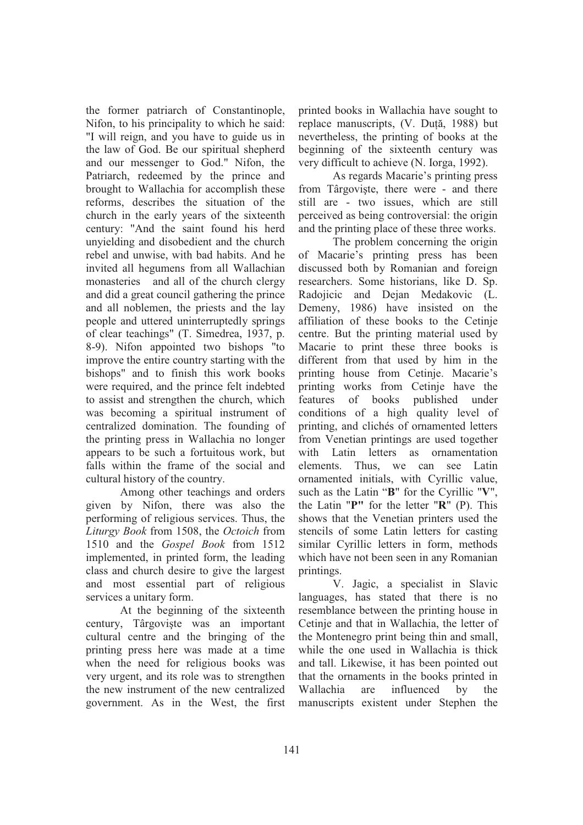the former patriarch of Constantinople, Nifon, to his principality to which he said: "I will reign, and you have to guide us in the law of God. Be our spiritual shepherd and our messenger to God." Nifon, the Patriarch, redeemed by the prince and brought to Wallachia for accomplish these reforms, describes the situation of the church in the early years of the sixteenth century: "And the saint found his herd unyielding and disobedient and the church rebel and unwise, with bad habits. And he invited all hegumens from all Wallachian monasteries and all of the church clergy and did a great council gathering the prince and all noblemen, the priests and the lay people and uttered uninterruptedly springs of clear teachings" (T. Simedrea, 1937, p. 8-9). Nifon appointed two bishops "to improve the entire country starting with the bishops" and to finish this work books were required, and the prince felt indebted to assist and strengthen the church, which was becoming a spiritual instrument of centralized domination. The founding of the printing press in Wallachia no longer appears to be such a fortuitous work, but falls within the frame of the social and cultural history of the country.

Among other teachings and orders given by Nifon, there was also the performing of religious services. Thus, the *Liturgy Book* from 1508, the *Octoich* from 1510 and the *Gospel Book* from 1512 implemented, in printed form, the leading class and church desire to give the largest and most essential part of religious services a unitary form.

At the beginning of the sixteenth century, Târgoviște was an important cultural centre and the bringing of the printing press here was made at a time when the need for religious books was very urgent, and its role was to strengthen the new instrument of the new centralized government. As in the West, the first

printed books in Wallachia have sought to replace manuscripts, (V. Duță, 1988) but nevertheless, the printing of books at the beginning of the sixteenth century was very difficult to achieve (N. Iorga, 1992).

As regards Macarie's printing press from Târgoviste, there were - and there still are - two issues, which are still perceived as being controversial: the origin and the printing place of these three works.

The problem concerning the origin of Macarie's printing press has been discussed both by Romanian and foreign researchers. Some historians, like D. Sp. Radojicic and Dejan Medakovic (L. Demeny, 1986) have insisted on the affiliation of these books to the Cetinje centre. But the printing material used by Macarie to print these three books is different from that used by him in the printing house from Cetinje. Macarie's printing works from Cetinje have the features of books published under conditions of a high quality level of printing, and clichés of ornamented letters from Venetian printings are used together with Latin letters as ornamentation elements. Thus, we can see Latin ornamented initials, with Cyrillic value, such as the Latin "**B**" for the Cyrillic "**V**", the Latin "**P"** for the letter "**R**" (P). This shows that the Venetian printers used the stencils of some Latin letters for casting similar Cyrillic letters in form, methods which have not been seen in any Romanian printings.

V. Jagic, a specialist in Slavic languages, has stated that there is no resemblance between the printing house in Cetinje and that in Wallachia, the letter of the Montenegro print being thin and small, while the one used in Wallachia is thick and tall. Likewise, it has been pointed out that the ornaments in the books printed in Wallachia are influenced by the manuscripts existent under Stephen the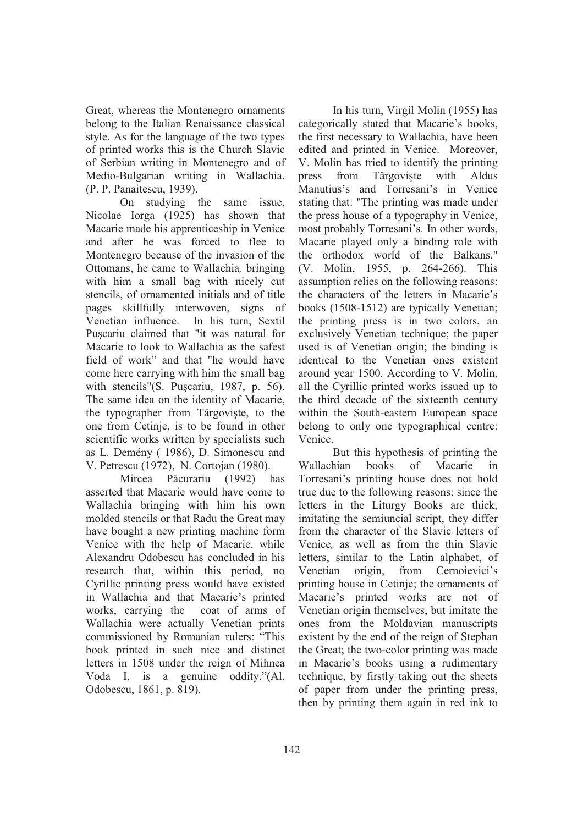Great, whereas the Montenegro ornaments belong to the Italian Renaissance classical style. As for the language of the two types of printed works this is the Church Slavic of Serbian writing in Montenegro and of Medio-Bulgarian writing in Wallachia. (P. P. Panaitescu, 1939).

On studying the same issue, Nicolae Iorga (1925) has shown that Macarie made his apprenticeship in Venice and after he was forced to flee to Montenegro because of the invasion of the Ottomans, he came to Wallachia*,* bringing with him a small bag with nicely cut stencils, of ornamented initials and of title pages skillfully interwoven, signs of Venetian influence. In his turn, Sextil Pucariu claimed that "it was natural for Macarie to look to Wallachia as the safest field of work" and that "he would have come here carrying with him the small bag with stencils"(S. Puscariu, 1987, p. 56). The same idea on the identity of Macarie, the typographer from Târgoviste, to the one from Cetinje, is to be found in other scientific works written by specialists such as L. Demény ( 1986), D. Simonescu and V. Petrescu (1972), N. Cortojan (1980).

Mircea <sub>P-</sub> Păcurariu (1992) has asserted that Macarie would have come to Wallachia bringing with him his own molded stencils or that Radu the Great may have bought a new printing machine form Venice with the help of Macarie, while Alexandru Odobescu has concluded in his research that, within this period, no Cyrillic printing press would have existed in Wallachia and that Macarie's printed works, carrying the coat of arms of Wallachia were actually Venetian prints commissioned by Romanian rulers: "This book printed in such nice and distinct letters in 1508 under the reign of Mihnea Voda I, is a genuine oddity."(Al. Odobescu, 1861, p. 819).

In his turn, Virgil Molin (1955) has categorically stated that Macarie's books, the first necessary to Wallachia, have been edited and printed in Venice. Moreover, V. Molin has tried to identify the printing press from Târgoviste with Aldus Manutius's and Torresani's in Venice stating that: "The printing was made under the press house of a typography in Venice, most probably Torresani's. In other words, Macarie played only a binding role with the orthodox world of the Balkans." (V. Molin, 1955, p. 264-266). This assumption relies on the following reasons: the characters of the letters in Macarie's books (1508-1512) are typically Venetian; the printing press is in two colors, an exclusively Venetian technique; the paper used is of Venetian origin; the binding is identical to the Venetian ones existent around year 1500. According to V. Molin, all the Cyrillic printed works issued up to the third decade of the sixteenth century within the South-eastern European space belong to only one typographical centre: Venice.

But this hypothesis of printing the Wallachian books of Macarie in Torresani's printing house does not hold true due to the following reasons: since the letters in the Liturgy Books are thick, imitating the semiuncial script, they differ from the character of the Slavic letters of Venice*,* as well as from the thin Slavic letters, similar to the Latin alphabet, of Venetian origin, from Cernoievici's printing house in Cetinje; the ornaments of Macarie's printed works are not of Venetian origin themselves, but imitate the ones from the Moldavian manuscripts existent by the end of the reign of Stephan the Great; the two-color printing was made in Macarie's books using a rudimentary technique, by firstly taking out the sheets of paper from under the printing press, then by printing them again in red ink to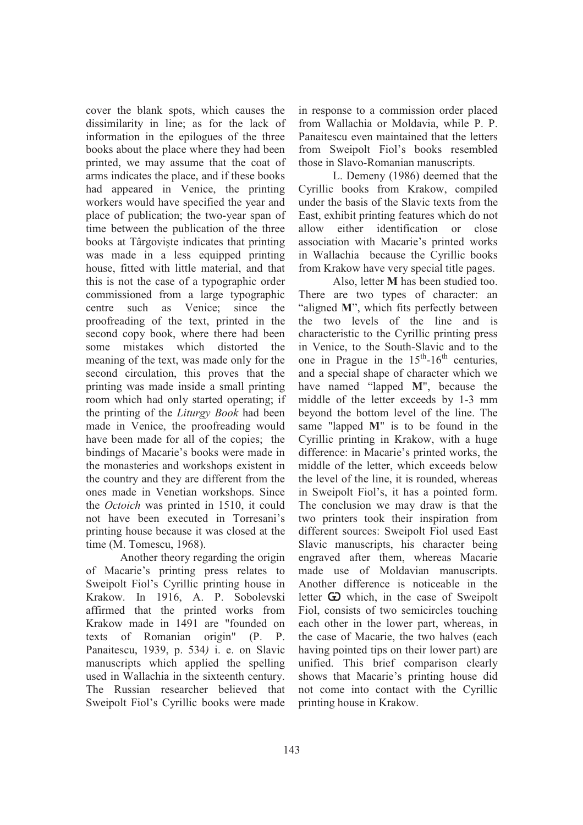cover the blank spots, which causes the dissimilarity in line; as for the lack of information in the epilogues of the three books about the place where they had been printed, we may assume that the coat of arms indicates the place, and if these books had appeared in Venice, the printing workers would have specified the year and place of publication; the two-year span of time between the publication of the three books at Târgoviste indicates that printing was made in a less equipped printing house, fitted with little material, and that this is not the case of a typographic order commissioned from a large typographic centre such as Venice; since the proofreading of the text, printed in the second copy book, where there had been some mistakes which distorted the meaning of the text, was made only for the second circulation, this proves that the printing was made inside a small printing room which had only started operating; if the printing of the *Liturgy Book* had been made in Venice, the proofreading would have been made for all of the copies; the bindings of Macarie's books were made in the monasteries and workshops existent in the country and they are different from the ones made in Venetian workshops. Since the *Octoich* was printed in 1510, it could not have been executed in Torresani's printing house because it was closed at the time (M. Tomescu, 1968).

Another theory regarding the origin of Macarie's printing press relates to Sweipolt Fiol's Cyrillic printing house in Krakow. In 1916, A. P. Sobolevski affirmed that the printed works from Krakow made in 1491 are "founded on texts of Romanian origin" (P. P. Panaitescu, 1939, p. 534*)* i. e. on Slavic manuscripts which applied the spelling used in Wallachia in the sixteenth century. The Russian researcher believed that Sweipolt Fiol's Cyrillic books were made

in response to a commission order placed from Wallachia or Moldavia, while P. P. Panaitescu even maintained that the letters from Sweipolt Fiol's books resembled those in Slavo-Romanian manuscripts.

L. Demeny (1986) deemed that the Cyrillic books from Krakow, compiled under the basis of the Slavic texts from the East, exhibit printing features which do not allow either identification or close association with Macarie's printed works in Wallachia because the Cyrillic books from Krakow have very special title pages.

Also, letter **M** has been studied too. There are two types of character: an "aligned M", which fits perfectly between the two levels of the line and is characteristic to the Cyrillic printing press in Venice, to the South-Slavic and to the one in Prague in the  $15<sup>th</sup>$ -16<sup>th</sup> centuries, and a special shape of character which we have named "lapped **M**", because the middle of the letter exceeds by 1-3 mm beyond the bottom level of the line. The same "lapped **M**" is to be found in the Cyrillic printing in Krakow, with a huge difference: in Macarie's printed works, the middle of the letter, which exceeds below the level of the line, it is rounded, whereas in Sweipolt Fiol's, it has a pointed form. The conclusion we may draw is that the two printers took their inspiration from different sources: Sweipolt Fiol used East Slavic manuscripts, his character being engraved after them, whereas Macarie made use of Moldavian manuscripts. Another difference is noticeable in the letter  $\bf{G}$  which, in the case of Sweipolt Fiol, consists of two semicircles touching each other in the lower part, whereas, in the case of Macarie, the two halves (each having pointed tips on their lower part) are unified. This brief comparison clearly shows that Macarie's printing house did not come into contact with the Cyrillic printing house in Krakow.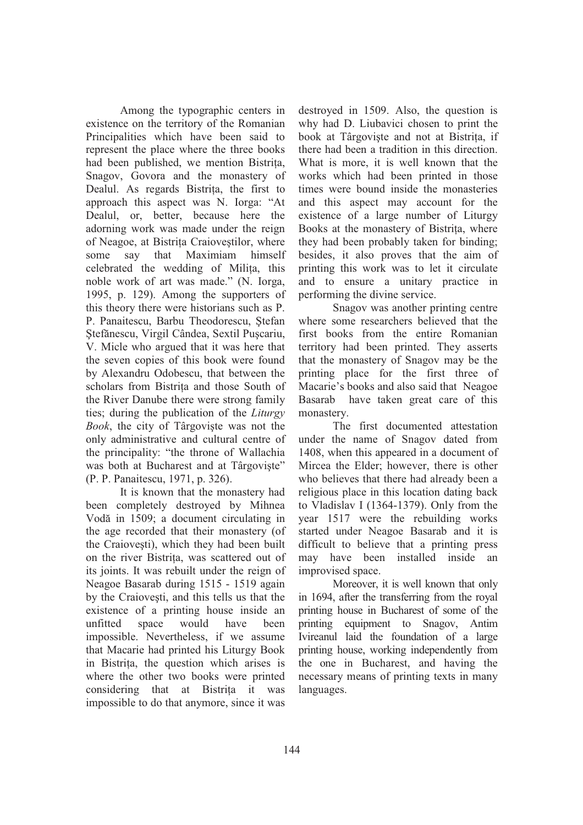Among the typographic centers in existence on the territory of the Romanian Principalities which have been said to represent the place where the three books had been published, we mention Bistria, Snagov, Govora and the monastery of Dealul. As regards Bistria, the first to approach this aspect was N. Iorga: "At Dealul, or, better, because here the adorning work was made under the reign of Neagoe, at Bistrita Craiovestilor, where some say that Maximiam himself celebrated the wedding of Milia, this noble work of art was made." (N. Iorga, 1995, p. 129). Among the supporters of this theory there were historians such as P. P. Panaitescu, Barbu Theodorescu, Stefan Ștefănescu, Virgil Cândea, Sextil Pușcariu, V. Micle who argued that it was here that the seven copies of this book were found by Alexandru Odobescu, that between the scholars from Bistria and those South of the River Danube there were strong family ties; during the publication of the *Liturgy Book*, the city of Târgoviste was not the only administrative and cultural centre of the principality: "the throne of Wallachia was both at Bucharest and at Târgoviște" (P. P. Panaitescu, 1971, p. 326).

It is known that the monastery had been completely destroyed by Mihnea Vodă in 1509; a document circulating in the age recorded that their monastery (of the Craiovesti), which they had been built on the river Bistria, was scattered out of its joints. It was rebuilt under the reign of Neagoe Basarab during 1515 - 1519 again by the Craiovesti, and this tells us that the existence of a printing house inside an unfitted space would have been impossible. Nevertheless, if we assume that Macarie had printed his Liturgy Book in Bistria, the question which arises is where the other two books were printed considering that at Bistrita it was impossible to do that anymore, since it was

destroyed in 1509. Also, the question is why had D. Liubavici chosen to print the book at Târgoviste and not at Bistrita, if there had been a tradition in this direction. What is more, it is well known that the works which had been printed in those times were bound inside the monasteries and this aspect may account for the existence of a large number of Liturgy Books at the monastery of Bistrița, where they had been probably taken for binding; besides, it also proves that the aim of printing this work was to let it circulate and to ensure a unitary practice in performing the divine service.

Snagov was another printing centre where some researchers believed that the first books from the entire Romanian territory had been printed. They asserts that the monastery of Snagov may be the printing place for the first three of Macarie's books and also said that Neagoe Basarab have taken great care of this monastery.

The first documented attestation under the name of Snagov dated from 1408, when this appeared in a document of Mircea the Elder; however, there is other who believes that there had already been a religious place in this location dating back to Vladislav I (1364-1379). Only from the year 1517 were the rebuilding works started under Neagoe Basarab and it is difficult to believe that a printing press may have been installed inside an improvised space.

Moreover, it is well known that only in 1694, after the transferring from the royal printing house in Bucharest of some of the printing equipment to Snagov, Antim Ivireanul laid the foundation of a large printing house, working independently from the one in Bucharest, and having the necessary means of printing texts in many languages.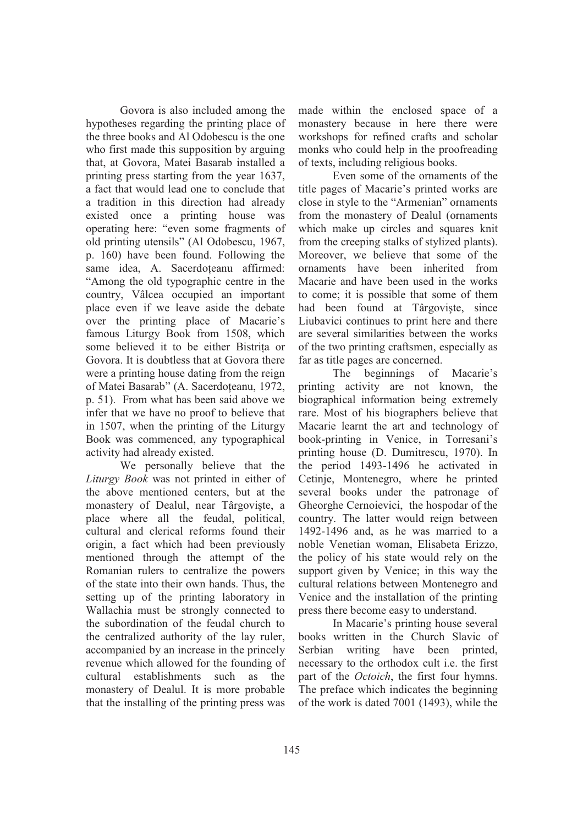Govora is also included among the hypotheses regarding the printing place of the three books and Al Odobescu is the one who first made this supposition by arguing that, at Govora, Matei Basarab installed a printing press starting from the year 1637, a fact that would lead one to conclude that a tradition in this direction had already existed once a printing house was operating here: "even some fragments of old printing utensils" (Al Odobescu, 1967, p. 160) have been found. Following the same idea, A. Sacerdoteanu affirmed: "Among the old typographic centre in the country, Vâlcea occupied an important place even if we leave aside the debate over the printing place of Macarie's famous Liturgy Book from 1508, which some believed it to be either Bistria or Govora. It is doubtless that at Govora there were a printing house dating from the reign of Matei Basarab" (A. Sacerdoteanu, 1972, p. 51). From what has been said above we infer that we have no proof to believe that in 1507, when the printing of the Liturgy Book was commenced, any typographical activity had already existed.

We personally believe that the *Liturgy Book* was not printed in either of the above mentioned centers, but at the monastery of Dealul, near Târgoviște, a place where all the feudal, political, cultural and clerical reforms found their origin, a fact which had been previously mentioned through the attempt of the Romanian rulers to centralize the powers of the state into their own hands. Thus, the setting up of the printing laboratory in Wallachia must be strongly connected to the subordination of the feudal church to the centralized authority of the lay ruler, accompanied by an increase in the princely revenue which allowed for the founding of cultural establishments such as the monastery of Dealul. It is more probable that the installing of the printing press was

made within the enclosed space of a monastery because in here there were workshops for refined crafts and scholar monks who could help in the proofreading of texts, including religious books.

Even some of the ornaments of the title pages of Macarie's printed works are close in style to the "Armenian" ornaments from the monastery of Dealul (ornaments which make up circles and squares knit from the creeping stalks of stylized plants). Moreover, we believe that some of the ornaments have been inherited from Macarie and have been used in the works to come; it is possible that some of them had been found at Târgoviste, since Liubavici continues to print here and there are several similarities between the works of the two printing craftsmen, especially as far as title pages are concerned.

The beginnings of Macarie's printing activity are not known, the biographical information being extremely rare. Most of his biographers believe that Macarie learnt the art and technology of book-printing in Venice, in Torresani's printing house (D. Dumitrescu, 1970). In the period 1493-1496 he activated in Cetinje, Montenegro, where he printed several books under the patronage of Gheorghe Cernoievici, the hospodar of the country. The latter would reign between 1492-1496 and, as he was married to a noble Venetian woman, Elisabeta Erizzo, the policy of his state would rely on the support given by Venice; in this way the cultural relations between Montenegro and Venice and the installation of the printing press there become easy to understand.

In Macarie's printing house several books written in the Church Slavic of Serbian writing have been printed, necessary to the orthodox cult i.e. the first part of the *Octoich*, the first four hymns. The preface which indicates the beginning of the work is dated 7001 (1493), while the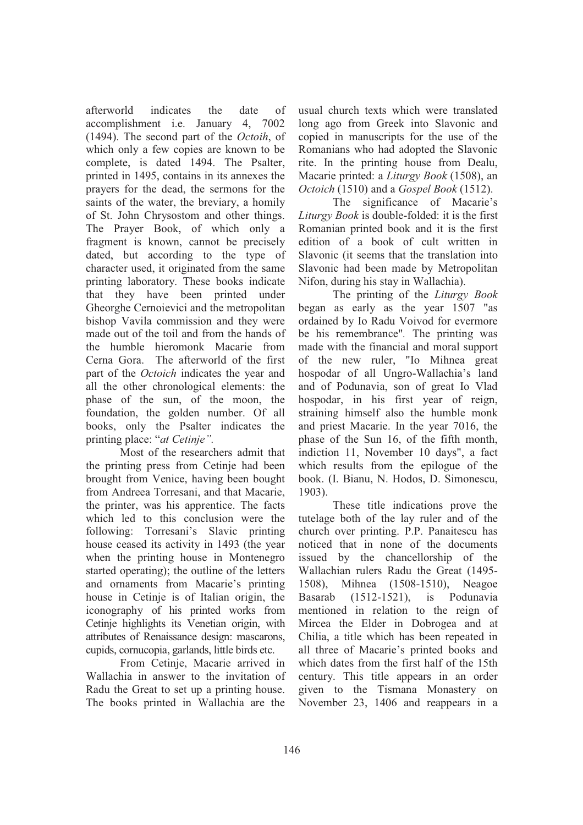afterworld indicates the date of accomplishment i.e. January 4, 7002 (1494). The second part of the *Octoih*, of which only a few copies are known to be complete, is dated 1494. The Psalter, printed in 1495, contains in its annexes the prayers for the dead, the sermons for the saints of the water, the breviary, a homily of St. John Chrysostom and other things. The Prayer Book, of which only a fragment is known, cannot be precisely dated, but according to the type of character used, it originated from the same printing laboratory. These books indicate that they have been printed under Gheorghe Cernoievici and the metropolitan bishop Vavila commission and they were made out of the toil and from the hands of the humble hieromonk Macarie from Cerna Gora. The afterworld of the first part of the *Octoich* indicates the year and all the other chronological elements: the phase of the sun, of the moon, the foundation, the golden number. Of all books, only the Psalter indicates the printing place: "*at Cetinje".* 

Most of the researchers admit that the printing press from Cetinje had been brought from Venice, having been bought from Andreea Torresani, and that Macarie, the printer, was his apprentice. The facts which led to this conclusion were the following: Torresani's Slavic printing house ceased its activity in 1493 (the year when the printing house in Montenegro started operating); the outline of the letters and ornaments from Macarie's printing house in Cetinje is of Italian origin, the iconography of his printed works from Cetinje highlights its Venetian origin, with attributes of Renaissance design: mascarons, cupids, cornucopia, garlands, little birds etc.

 From Cetinje, Macarie arrived in Wallachia in answer to the invitation of Radu the Great to set up a printing house. The books printed in Wallachia are the

usual church texts which were translated long ago from Greek into Slavonic and copied in manuscripts for the use of the Romanians who had adopted the Slavonic rite. In the printing house from Dealu, Macarie printed: a *Liturgy Book* (1508), an *Octoich* (1510) and a *Gospel Book* (1512).

The significance of Macarie's *Liturgy Book* is double-folded: it is the first Romanian printed book and it is the first edition of a book of cult written in Slavonic (it seems that the translation into Slavonic had been made by Metropolitan Nifon, during his stay in Wallachia).

The printing of the *Liturgy Book* began as early as the year 1507 "as ordained by Io Radu Voivod for evermore be his remembrance"*.* The printing was made with the financial and moral support of the new ruler, "Io Mihnea great hospodar of all Ungro-Wallachia's land and of Podunavia, son of great Io Vlad hospodar, in his first year of reign, straining himself also the humble monk and priest Macarie. In the year 7016, the phase of the Sun 16, of the fifth month, indiction 11, November 10 days", a fact which results from the epilogue of the book. (I. Bianu, N. Hodos, D. Simonescu, 1903).

These title indications prove the tutelage both of the lay ruler and of the church over printing. P.P. Panaitescu has noticed that in none of the documents issued by the chancellorship of the Wallachian rulers Radu the Great (1495- 1508), Mihnea (1508-1510), Neagoe Basarab (1512-1521), is Podunavia mentioned in relation to the reign of Mircea the Elder in Dobrogea and at Chilia, a title which has been repeated in all three of Macarie's printed books and which dates from the first half of the 15th century. This title appears in an order given to the Tismana Monastery on November 23, 1406 and reappears in a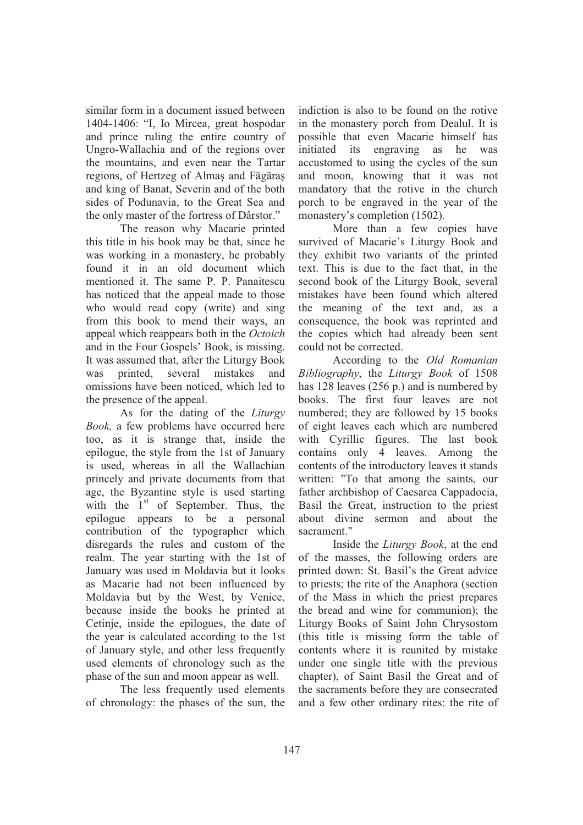similar form in a document issued between 1404-1406: "I, Io Mircea, great hospodar and prince ruling the entire country of Ungro-Wallachia and of the regions over the mountains, and even near the Tartar regions, of Hertzeg of Almaş and Făgăraș and king of Banat, Severin and of the both sides of Podunavia, to the Great Sea and the only master of the fortress of Dârstor."

The reason why Macarie printed this title in his book may be that, since he was working in a monastery, he probably found it in an old document which mentioned it. The same P. P. Panaitescu has noticed that the appeal made to those who would read copy (write) and sing from this book to mend their ways, an appeal which reappears both in the *Octoich* and in the Four Gospels' Book, is missing. It was assumed that, after the Liturgy Book was printed, several mistakes and omissions have been noticed, which led to the presence of the appeal.

As for the dating of the *Liturgy Book,* a few problems have occurred here too, as it is strange that, inside the epilogue, the style from the 1st of January is used, whereas in all the Wallachian princely and private documents from that age, the Byzantine style is used starting with the  $1<sup>st</sup>$  of September. Thus, the epilogue appears to be a personal contribution of the typographer which disregards the rules and custom of the realm. The year starting with the 1st of January was used in Moldavia but it looks as Macarie had not been influenced by Moldavia but by the West, by Venice, because inside the books he printed at Cetinje, inside the epilogues, the date of the year is calculated according to the 1st of January style, and other less frequently used elements of chronology such as the phase of the sun and moon appear as well.

The less frequently used elements of chronology: the phases of the sun, the

indiction is also to be found on the rotive in the monastery porch from Dealul. It is possible that even Macarie himself has initiated its engraving as he was accustomed to using the cycles of the sun and moon, knowing that it was not mandatory that the rotive in the church porch to be engraved in the year of the monastery's completion (1502).

 More than a few copies have survived of Macarie's Liturgy Book and they exhibit two variants of the printed text. This is due to the fact that, in the second book of the Liturgy Book, several mistakes have been found which altered the meaning of the text and, as a consequence, the book was reprinted and the copies which had already been sent could not be corrected.

According to the *Old Romanian Bibliography*, the *Liturgy Book* of 1508 has 128 leaves (256 p.) and is numbered by books. The first four leaves are not numbered; they are followed by 15 books of eight leaves each which are numbered with Cyrillic figures. The last book contains only 4 leaves. Among the contents of the introductory leaves it stands written: "To that among the saints, our father archbishop of Caesarea Cappadocia, Basil the Great, instruction to the priest about divine sermon and about the sacrament."

Inside the *Liturgy Book*, at the end of the masses, the following orders are printed down: St. Basil's the Great advice to priests; the rite of the Anaphora (section of the Mass in which the priest prepares the bread and wine for communion); the Liturgy Books of Saint John Chrysostom (this title is missing form the table of contents where it is reunited by mistake under one single title with the previous chapter), of Saint Basil the Great and of the sacraments before they are consecrated and a few other ordinary rites: the rite of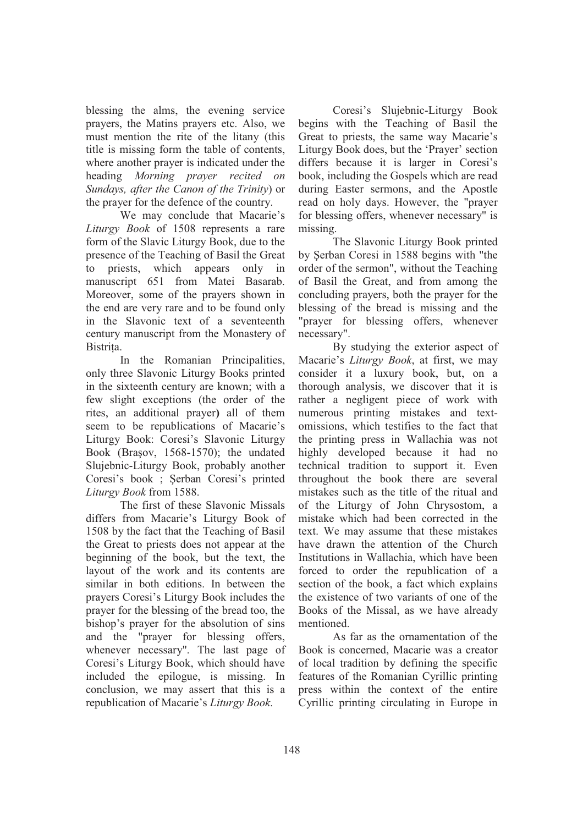blessing the alms, the evening service prayers, the Matins prayers etc. Also, we must mention the rite of the litany (this title is missing form the table of contents, where another prayer is indicated under the heading *Morning prayer recited on Sundays, after the Canon of the Trinity*) or the prayer for the defence of the country.

We may conclude that Macarie's *Liturgy Book* of 1508 represents a rare form of the Slavic Liturgy Book, due to the presence of the Teaching of Basil the Great to priests, which appears only in manuscript 651 from Matei Basarab. Moreover, some of the prayers shown in the end are very rare and to be found only in the Slavonic text of a seventeenth century manuscript from the Monastery of Bistria.

In the Romanian Principalities, only three Slavonic Liturgy Books printed in the sixteenth century are known; with a few slight exceptions (the order of the rites, an additional prayer**)** all of them seem to be republications of Macarie's Liturgy Book: Coresi's Slavonic Liturgy Book (Brasov, 1568-1570); the undated Slujebnic-Liturgy Book, probably another Coresi's book ; Şerban Coresi's printed *Liturgy Book* from 1588.

The first of these Slavonic Missals differs from Macarie's Liturgy Book of 1508 by the fact that the Teaching of Basil the Great to priests does not appear at the beginning of the book, but the text, the layout of the work and its contents are similar in both editions. In between the prayers Coresi's Liturgy Book includes the prayer for the blessing of the bread too, the bishop's prayer for the absolution of sins and the "prayer for blessing offers, whenever necessary". The last page of Coresi's Liturgy Book, which should have included the epilogue, is missing. In conclusion, we may assert that this is a republication of Macarie's *Liturgy Book*.

 Coresi's Slujebnic-Liturgy Book begins with the Teaching of Basil the Great to priests, the same way Macarie's Liturgy Book does, but the 'Prayer' section differs because it is larger in Coresi's book, including the Gospels which are read during Easter sermons, and the Apostle read on holy days. However, the "prayer for blessing offers, whenever necessary" is missing.

The Slavonic Liturgy Book printed by Serban Coresi in 1588 begins with "the order of the sermon", without the Teaching of Basil the Great, and from among the concluding prayers, both the prayer for the blessing of the bread is missing and the "prayer for blessing offers, whenever necessary".

 By studying the exterior aspect of Macarie's *Liturgy Book*, at first, we may consider it a luxury book, but, on a thorough analysis, we discover that it is rather a negligent piece of work with numerous printing mistakes and textomissions, which testifies to the fact that the printing press in Wallachia was not highly developed because it had no technical tradition to support it. Even throughout the book there are several mistakes such as the title of the ritual and of the Liturgy of John Chrysostom, a mistake which had been corrected in the text. We may assume that these mistakes have drawn the attention of the Church Institutions in Wallachia, which have been forced to order the republication of a section of the book, a fact which explains the existence of two variants of one of the Books of the Missal, as we have already mentioned.

As far as the ornamentation of the Book is concerned, Macarie was a creator of local tradition by defining the specific features of the Romanian Cyrillic printing press within the context of the entire Cyrillic printing circulating in Europe in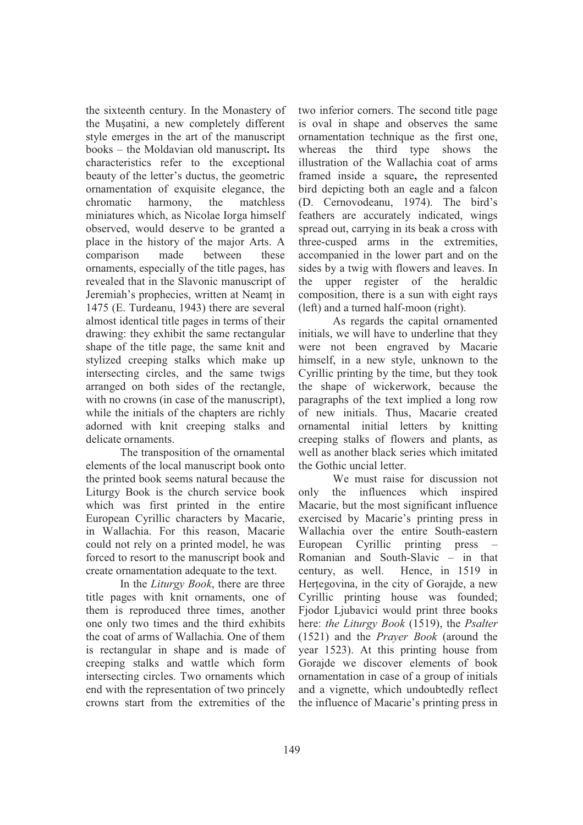the sixteenth century. In the Monastery of the Mușatini, a new completely different style emerges in the art of the manuscript books – the Moldavian old manuscript**.** Its characteristics refer to the exceptional beauty of the letter's ductus, the geometric ornamentation of exquisite elegance, the chromatic harmony, the matchless miniatures which, as Nicolae Iorga himself observed, would deserve to be granted a place in the history of the major Arts. A comparison made between these ornaments, especially of the title pages, has revealed that in the Slavonic manuscript of Jeremiah's prophecies, written at Neamt in 1475 (E. Turdeanu, 1943) there are several almost identical title pages in terms of their drawing: they exhibit the same rectangular shape of the title page, the same knit and stylized creeping stalks which make up intersecting circles, and the same twigs arranged on both sides of the rectangle, with no crowns (in case of the manuscript), while the initials of the chapters are richly adorned with knit creeping stalks and delicate ornaments.

The transposition of the ornamental elements of the local manuscript book onto the printed book seems natural because the Liturgy Book is the church service book which was first printed in the entire European Cyrillic characters by Macarie, in Wallachia. For this reason, Macarie could not rely on a printed model, he was forced to resort to the manuscript book and create ornamentation adequate to the text.

In the *Liturgy Book*, there are three title pages with knit ornaments, one of them is reproduced three times, another one only two times and the third exhibits the coat of arms of Wallachia. One of them is rectangular in shape and is made of creeping stalks and wattle which form intersecting circles. Two ornaments which end with the representation of two princely crowns start from the extremities of the

two inferior corners. The second title page is oval in shape and observes the same ornamentation technique as the first one, whereas the third type shows the illustration of the Wallachia coat of arms framed inside a square**,** the represented bird depicting both an eagle and a falcon (D. Cernovodeanu, 1974). The bird's feathers are accurately indicated, wings spread out, carrying in its beak a cross with three-cusped arms in the extremities, accompanied in the lower part and on the sides by a twig with flowers and leaves. In the upper register of the heraldic composition, there is a sun with eight rays (left) and a turned half-moon (right).

As regards the capital ornamented initials, we will have to underline that they were not been engraved by Macarie himself, in a new style, unknown to the Cyrillic printing by the time, but they took the shape of wickerwork, because the paragraphs of the text implied a long row of new initials. Thus, Macarie created ornamental initial letters by knitting creeping stalks of flowers and plants, as well as another black series which imitated the Gothic uncial letter.

 We must raise for discussion not only the influences which inspired Macarie, but the most significant influence exercised by Macarie's printing press in Wallachia over the entire South-eastern European Cyrillic printing press – Romanian and South-Slavic – in that century, as well. Hence, in 1519 in Hertegovina, in the city of Gorajde, a new Cyrillic printing house was founded; Fjodor Ljubavici would print three books here: *the Liturgy Book* (1519), the *Psalter* (1521) and the *Prayer Book* (around the year 1523). At this printing house from Gorajde we discover elements of book ornamentation in case of a group of initials and a vignette, which undoubtedly reflect the influence of Macarie's printing press in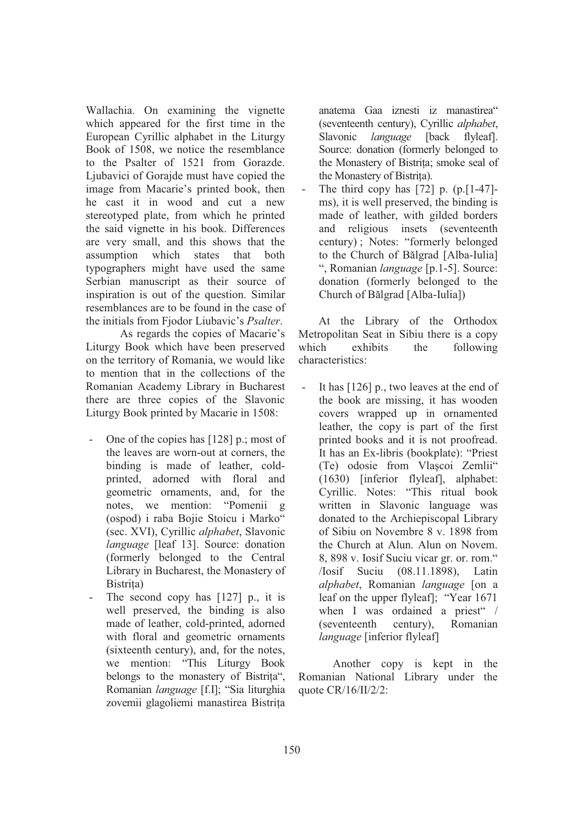Wallachia. On examining the vignette which appeared for the first time in the European Cyrillic alphabet in the Liturgy Book of 1508, we notice the resemblance to the Psalter of 1521 from Gorazde. Ljubavici of Gorajde must have copied the image from Macarie's printed book, then he cast it in wood and cut a new stereotyped plate, from which he printed the said vignette in his book. Differences are very small, and this shows that the assumption which states that both typographers might have used the same Serbian manuscript as their source of inspiration is out of the question. Similar resemblances are to be found in the case of the initials from Fjodor Liubavic's *Psalter*.

As regards the copies of Macarie's Liturgy Book which have been preserved on the territory of Romania, we would like to mention that in the collections of the Romanian Academy Library in Bucharest there are three copies of the Slavonic Liturgy Book printed by Macarie in 1508:

- One of the copies has [128] p.; most of the leaves are worn-out at corners, the binding is made of leather, coldprinted, adorned with floral and geometric ornaments, and, for the notes, we mention: "Pomenii g (ospod) i raba Bojie Stoicu i Marko" (sec. XVI), Cyrillic *alphabet*, Slavonic *language* [leaf 13]. Source: donation (formerly belonged to the Central Library in Bucharest, the Monastery of Bistrița)
- The second copy has  $[127]$  p., it is well preserved, the binding is also made of leather, cold-printed, adorned with floral and geometric ornaments (sixteenth century), and, for the notes, we mention: "This Liturgy Book belongs to the monastery of Bistria", Romanian *language* [f.I]; "Sia liturghia zovemii glagoliemi manastirea Bistria

anatema Gaa iznesti iz manastirea" (seventeenth century), Cyrillic *alphabet*, Slavonic *language* [back flyleaf]. Source: donation (formerly belonged to the Monastery of Bistria; smoke seal of the Monastery of Bistria).

The third copy has  $[72]$  p.  $(p.[1-47]$ ms), it is well preserved, the binding is made of leather, with gilded borders and religious insets (seventeenth century) ; Notes: "formerly belonged to the Church of Bălgrad [Alba-Iulia] ", Romanian *language* [p.1-5]. Source: donation (formerly belonged to the Church of Bălgrad [Alba-Iulia])

At the Library of the Orthodox Metropolitan Seat in Sibiu there is a copy which exhibits the following characteristics:

It has  $[126]$  p., two leaves at the end of the book are missing, it has wooden covers wrapped up in ornamented leather, the copy is part of the first printed books and it is not proofread. It has an Ex-libris (bookplate): "Priest (Te) odosie from Vlascoi Zemlii" (1630) [inferior flyleaf], alphabet: Cyrillic. Notes: "This ritual book written in Slavonic language was donated to the Archiepiscopal Library of Sibiu on Novembre 8 v. 1898 from the Church at Alun. Alun on Novem. 8, 898 v. Iosif Suciu vicar gr. or. rom." /Iosif Suciu (08.11.1898), Latin *alphabet*, Romanian *language* [on a leaf on the upper flyleaf]; "Year 1671 when I was ordained a priest" / (seventeenth century), Romanian *language* [inferior flyleaf]

Another copy is kept in the Romanian National Library under the quote CR/16/II/2/2: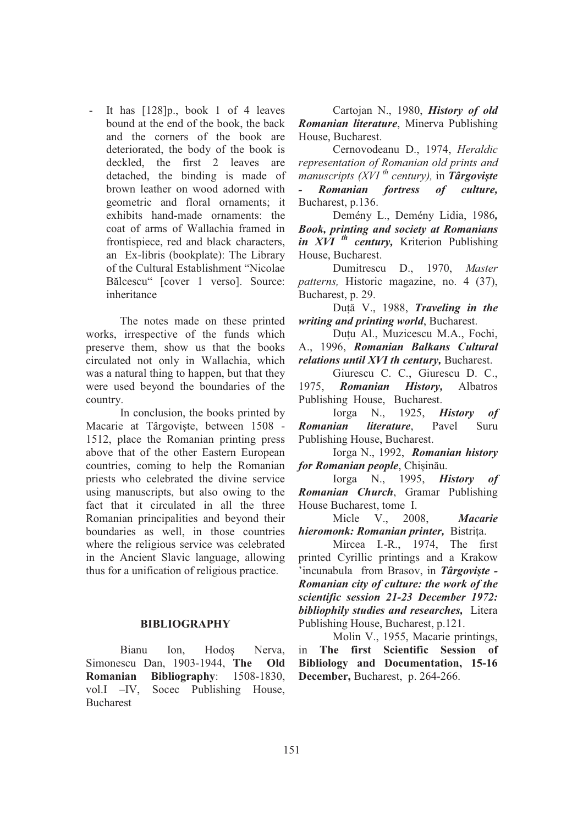- It has [128]p., book 1 of 4 leaves bound at the end of the book, the back and the corners of the book are deteriorated, the body of the book is deckled, the first 2 leaves are detached, the binding is made of brown leather on wood adorned with geometric and floral ornaments; it exhibits hand-made ornaments: the coat of arms of Wallachia framed in frontispiece, red and black characters, an Ex-libris (bookplate): The Library of the Cultural Establishment "Nicolae Bălcescu" [cover 1 verso]. Source: inheritance

The notes made on these printed works, irrespective of the funds which preserve them, show us that the books circulated not only in Wallachia, which was a natural thing to happen, but that they were used beyond the boundaries of the country.

 In conclusion, the books printed by Macarie at Târgoviste, between 1508 -1512, place the Romanian printing press above that of the other Eastern European countries, coming to help the Romanian priests who celebrated the divine service using manuscripts, but also owing to the fact that it circulated in all the three Romanian principalities and beyond their boundaries as well, in those countries where the religious service was celebrated in the Ancient Slavic language, allowing thus for a unification of religious practice.

## **BIBLIOGRAPHY**

Bianu Ion, Hodos Nerva, Simonescu Dan, 1903-1944, **The Old Romanian Bibliography**: 1508-1830, vol.I –IV, Socec Publishing House, Bucharest

Cartojan N., 1980, *History of old Romanian literature*, Minerva Publishing House, Bucharest.

Cernovodeanu D., 1974, *Heraldic representation of Romanian old prints and manuscripts (XVI th century),* in *Târgovite - Romanian fortress of culture,* Bucharest, p.136.

Demény L., Demény Lidia, 1986*, Book, printing and society at Romanians in XVI th century,* Kriterion Publishing House, Bucharest.

Dumitrescu D., 1970, *Master patterns,* Historic magazine, no. 4 (37), Bucharest, p. 29.

Duță V., 1988, *Traveling in the writing and printing world*, Bucharest.

Duțu Al., Muzicescu M.A., Fochi, A., 1996, *Romanian Balkans Cultural relations until XVI th century,* Bucharest.

Giurescu C. C., Giurescu D. C., 1975, *Romanian History,* Albatros Publishing House, Bucharest.

Iorga N., 1925, *History of Romanian literature*, Pavel Suru Publishing House, Bucharest.

Iorga N., 1992, *Romanian history*  for Romanian people, Chișinău.

Iorga N., 1995, *History of Romanian Church*, Gramar Publishing House Bucharest, tome I.

Micle V., 2008, *Macarie hieromonk: Romanian printer,* Bistria.

Mircea I.-R., 1974, The first printed Cyrillic printings and a Krakow 'incunabula from Brasov, in *Târgovite - Romanian city of culture: the work of the scientific session 21-23 December 1972: bibliophily studies and researches,* Litera Publishing House, Bucharest, p.121.

Molin V., 1955, Macarie printings, in **The first Scientific Session of Bibliology and Documentation, 15-16 December,** Bucharest, p. 264-266.